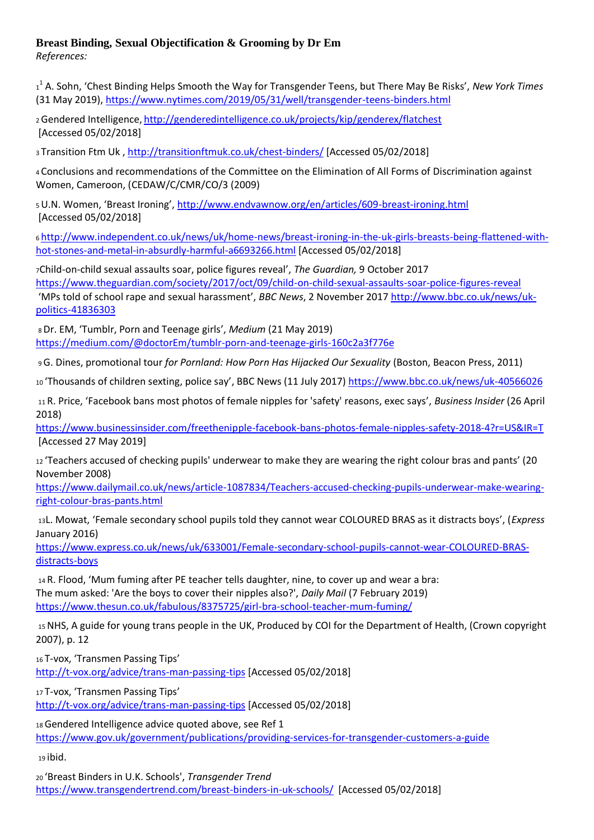## **Breast Binding, Sexual Objectification & Grooming by Dr Em**

*References:* 

1 1 A. Sohn, 'Chest Binding Helps Smooth the Way for Transgender Teens, but There May Be Risks', *New York Times*  (31 May 2019), <https://www.nytimes.com/2019/05/31/well/transgender-teens-binders.html>

<sup>2</sup>Gendered Intelligence, <http://genderedintelligence.co.uk/projects/kip/genderex/flatchest> [Accessed 05/02/2018]

<sup>3</sup> Transition Ftm Uk ,<http://transitionftmuk.co.uk/chest-binders/> [Accessed 05/02/2018]

<sup>4</sup> Conclusions and recommendations of the Committee on the Elimination of All Forms of Discrimination against Women, Cameroon, (CEDAW/C/CMR/CO/3 (2009)

<sup>5</sup>U.N. Women, 'Breast Ironing', <http://www.endvawnow.org/en/articles/609-breast-ironing.html> [Accessed 05/02/2018]

<sup>6</sup> [http://www.independent.co.uk/news/uk/home-news/breast-ironing-in-the-uk-girls-breasts-being-flattened-with](http://www.independent.co.uk/news/uk/home-news/breast-ironing-in-the-uk-girls-breasts-being-flattened-with-hot-stones-and-metal-in-absurdly-harmful-a6693266.html)[hot-stones-and-metal-in-absurdly-harmful-a6693266.html](http://www.independent.co.uk/news/uk/home-news/breast-ironing-in-the-uk-girls-breasts-being-flattened-with-hot-stones-and-metal-in-absurdly-harmful-a6693266.html) [Accessed 05/02/2018]

<sup>7</sup>Child-on-child sexual assaults soar, police figures reveal', *The Guardian,* 9 October 2017 <https://www.theguardian.com/society/2017/oct/09/child-on-child-sexual-assaults-soar-police-figures-reveal> 'MPs told of school rape and sexual harassment', *BBC News*, 2 November 2017 [http://www.bbc.co.uk/news/uk](http://www.bbc.co.uk/news/uk-politics-41836303)[politics-41836303](http://www.bbc.co.uk/news/uk-politics-41836303)

<sup>8</sup>Dr. EM, 'Tumblr, Porn and Teenage girls', *Medium* (21 May 2019) <https://medium.com/@doctorEm/tumblr-porn-and-teenage-girls-160c2a3f776e>

<sup>9</sup>G. Dines, promotional tour *for Pornland: How Porn Has Hijacked Our Sexuality* (Boston, Beacon Press, 2011)

10 'Thousands of children sexting, police say', BBC News (11 July 2017)<https://www.bbc.co.uk/news/uk-40566026>

<sup>11</sup> R. Price, 'Facebook bans most photos of female nipples for 'safety' reasons, exec says', *Business Insider* (26 April 2018)

<https://www.businessinsider.com/freethenipple-facebook-bans-photos-female-nipples-safety-2018-4?r=US&IR=T> [Accessed 27 May 2019]

<sup>12</sup> 'Teachers accused of checking pupils' underwear to make they are wearing the right colour bras and pants' (20 November 2008)

[https://www.dailymail.co.uk/news/article-1087834/Teachers-accused-checking-pupils-underwear-make-wearing](https://www.dailymail.co.uk/news/article-1087834/Teachers-accused-checking-pupils-underwear-make-wearing-right-colour-bras-pants.html)[right-colour-bras-pants.html](https://www.dailymail.co.uk/news/article-1087834/Teachers-accused-checking-pupils-underwear-make-wearing-right-colour-bras-pants.html)

<sup>13</sup>L. Mowat, 'Female secondary school pupils told they cannot wear COLOURED BRAS as it distracts boys', (*Express*  January 2016)

[https://www.express.co.uk/news/uk/633001/Female-secondary-school-pupils-cannot-wear-COLOURED-BRAS](https://www.express.co.uk/news/uk/633001/Female-secondary-school-pupils-cannot-wear-COLOURED-BRAS-distracts-boys)[distracts-boys](https://www.express.co.uk/news/uk/633001/Female-secondary-school-pupils-cannot-wear-COLOURED-BRAS-distracts-boys)

<sup>14</sup> R. Flood, 'Mum fuming after PE teacher tells daughter, nine, to cover up and wear a bra: The mum asked: 'Are the boys to cover their nipples also?', *Daily Mail* (7 February 2019) <https://www.thesun.co.uk/fabulous/8375725/girl-bra-school-teacher-mum-fuming/>

<sup>15</sup>NHS, A guide for young trans people in the UK, Produced by COI for the Department of Health, (Crown copyright 2007), p. 12

<sup>16</sup> T-vox, 'Transmen Passing Tips' <http://t-vox.org/advice/trans-man-passing-tips> [Accessed 05/02/2018]

<sup>17</sup> T-vox, 'Transmen Passing Tips'

<http://t-vox.org/advice/trans-man-passing-tips> [Accessed 05/02/2018]

18 Gendered Intelligence advice quoted above, see Ref 1 <https://www.gov.uk/government/publications/providing-services-for-transgender-customers-a-guide>

<sup>19</sup> ibid.

<sup>20</sup> 'Breast Binders in U.K. Schools', *Transgender Trend*  <https://www.transgendertrend.com/breast-binders-in-uk-schools/>[Accessed 05/02/2018]